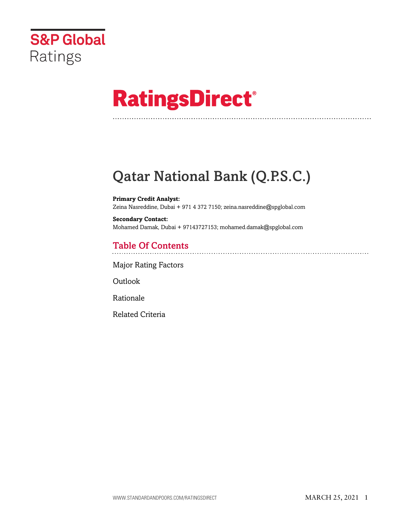

# **RatingsDirect®**

# Qatar National Bank (Q.P.S.C.)

**Primary Credit Analyst:** Zeina Nasreddine, Dubai + 971 4 372 7150; zeina.nasreddine@spglobal.com

**Secondary Contact:** Mohamed Damak, Dubai + 97143727153; mohamed.damak@spglobal.com

## Table Of Contents

[Major Rating Factors](#page-1-0)

Outlook

[Rationale](#page-2-0)

[Related Criteria](#page-11-0)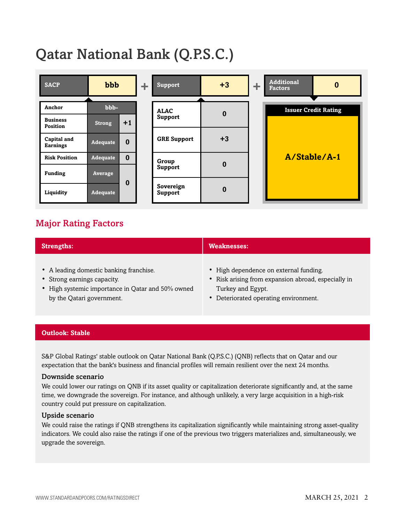# Qatar National Bank (Q.P.S.C.)

| <b>SACP</b>                 | bbb             |          |  |                      |          |  | ÷.                          | <b>Support</b> | $+3$ | ÷ | <b>Additional</b><br>$\boldsymbol{0}$<br><b>Factors</b> |
|-----------------------------|-----------------|----------|--|----------------------|----------|--|-----------------------------|----------------|------|---|---------------------------------------------------------|
|                             |                 |          |  |                      |          |  |                             |                |      |   |                                                         |
| Anchor                      | bbb-            |          |  | <b>ALAC</b>          | $\bf{0}$ |  | <b>Issuer Credit Rating</b> |                |      |   |                                                         |
| <b>Business</b><br>Position | <b>Strong</b>   | $+1$     |  | <b>Support</b>       |          |  |                             |                |      |   |                                                         |
| Capital and                 |                 |          |  | <b>GRE Support</b>   | $+3$     |  |                             |                |      |   |                                                         |
| <b>Earnings</b>             | Adequate        | $\bf{0}$ |  |                      |          |  |                             |                |      |   |                                                         |
| <b>Risk Position</b>        | Adequate        | $\bf{0}$ |  | Group                | $\bf{0}$ |  | A/Stable/A-1                |                |      |   |                                                         |
| <b>Funding</b>              | Average         |          |  | Support              |          |  |                             |                |      |   |                                                         |
|                             |                 | $\bf{0}$ |  |                      |          |  |                             |                |      |   |                                                         |
| Liquidity                   | <b>Adequate</b> |          |  | Sovereign<br>Support | $\bf{0}$ |  |                             |                |      |   |                                                         |

### <span id="page-1-0"></span>Major Rating Factors

| <b>Strengths:</b>                                 | <b>Weaknesses:</b>                                  |  |  |  |  |  |
|---------------------------------------------------|-----------------------------------------------------|--|--|--|--|--|
| • A leading domestic banking franchise.           | • High dependence on external funding.              |  |  |  |  |  |
| • Strong earnings capacity.                       | • Risk arising from expansion abroad, especially in |  |  |  |  |  |
| • High systemic importance in Qatar and 50% owned | Turkey and Egypt.                                   |  |  |  |  |  |
| by the Qatari government.                         | • Deteriorated operating environment.               |  |  |  |  |  |

#### **Outlook: Stable**

S&P Global Ratings' stable outlook on Qatar National Bank (Q.P.S.C.) (QNB) reflects that on Qatar and our expectation that the bank's business and financial profiles will remain resilient over the next 24 months.

#### Downside scenario

We could lower our ratings on QNB if its asset quality or capitalization deteriorate significantly and, at the same time, we downgrade the sovereign. For instance, and although unlikely, a very large acquisition in a high-risk country could put pressure on capitalization.

#### Upside scenario

We could raise the ratings if QNB strengthens its capitalization significantly while maintaining strong asset-quality indicators. We could also raise the ratings if one of the previous two triggers materializes and, simultaneously, we upgrade the sovereign.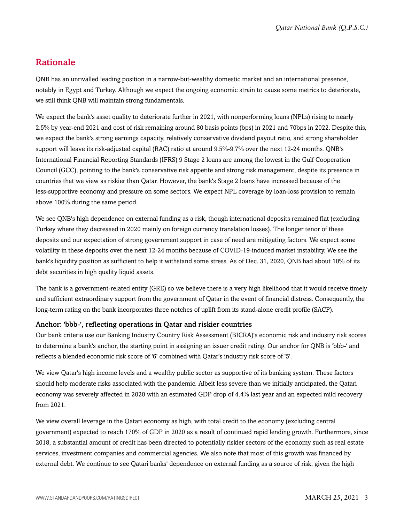### <span id="page-2-0"></span>Rationale

QNB has an unrivalled leading position in a narrow-but-wealthy domestic market and an international presence, notably in Egypt and Turkey. Although we expect the ongoing economic strain to cause some metrics to deteriorate, we still think QNB will maintain strong fundamentals.

We expect the bank's asset quality to deteriorate further in 2021, with nonperforming loans (NPLs) rising to nearly 2.5% by year-end 2021 and cost of risk remaining around 80 basis points (bps) in 2021 and 70bps in 2022. Despite this, we expect the bank's strong earnings capacity, relatively conservative dividend payout ratio, and strong shareholder support will leave its risk-adjusted capital (RAC) ratio at around 9.5%-9.7% over the next 12-24 months. QNB's International Financial Reporting Standards (IFRS) 9 Stage 2 loans are among the lowest in the Gulf Cooperation Council (GCC), pointing to the bank's conservative risk appetite and strong risk management, despite its presence in countries that we view as riskier than Qatar. However, the bank's Stage 2 loans have increased because of the less-supportive economy and pressure on some sectors. We expect NPL coverage by loan-loss provision to remain above 100% during the same period.

We see QNB's high dependence on external funding as a risk, though international deposits remained flat (excluding Turkey where they decreased in 2020 mainly on foreign currency translation losses). The longer tenor of these deposits and our expectation of strong government support in case of need are mitigating factors. We expect some volatility in these deposits over the next 12-24 months because of COVID-19-induced market instability. We see the bank's liquidity position as sufficient to help it withstand some stress. As of Dec. 31, 2020, QNB had about 10% of its debt securities in high quality liquid assets.

The bank is a government-related entity (GRE) so we believe there is a very high likelihood that it would receive timely and sufficient extraordinary support from the government of Qatar in the event of financial distress. Consequently, the long-term rating on the bank incorporates three notches of uplift from its stand-alone credit profile (SACP).

#### Anchor: 'bbb-', reflecting operations in Qatar and riskier countries

Our bank criteria use our Banking Industry Country Risk Assessment (BICRA)'s economic risk and industry risk scores to determine a bank's anchor, the starting point in assigning an issuer credit rating. Our anchor for QNB is 'bbb-' and reflects a blended economic risk score of '6' combined with Qatar's industry risk score of '5'.

We view Qatar's high income levels and a wealthy public sector as supportive of its banking system. These factors should help moderate risks associated with the pandemic. Albeit less severe than we initially anticipated, the Qatari economy was severely affected in 2020 with an estimated GDP drop of 4.4% last year and an expected mild recovery from 2021.

We view overall leverage in the Qatari economy as high, with total credit to the economy (excluding central government) expected to reach 170% of GDP in 2020 as a result of continued rapid lending growth. Furthermore, since 2018, a substantial amount of credit has been directed to potentially riskier sectors of the economy such as real estate services, investment companies and commercial agencies. We also note that most of this growth was financed by external debt. We continue to see Qatari banks' dependence on external funding as a source of risk, given the high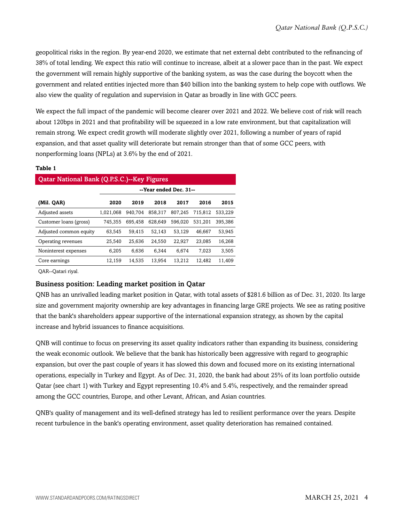geopolitical risks in the region. By year-end 2020, we estimate that net external debt contributed to the refinancing of 38% of total lending. We expect this ratio will continue to increase, albeit at a slower pace than in the past. We expect the government will remain highly supportive of the banking system, as was the case during the boycott when the government and related entities injected more than \$40 billion into the banking system to help cope with outflows. We also view the quality of regulation and supervision in Qatar as broadly in line with GCC peers.

We expect the full impact of the pandemic will become clearer over 2021 and 2022. We believe cost of risk will reach about 120bps in 2021 and that profitability will be squeezed in a low rate environment, but that capitalization will remain strong. We expect credit growth will moderate slightly over 2021, following a number of years of rapid expansion, and that asset quality will deteriorate but remain stronger than that of some GCC peers, with nonperforming loans (NPLs) at 3.6% by the end of 2021.

#### **Table 1**

| <b>Qatar National Bank (Q.P.S.C.)--Key Figures</b> |           |                        |         |         |         |         |  |  |  |  |  |
|----------------------------------------------------|-----------|------------------------|---------|---------|---------|---------|--|--|--|--|--|
|                                                    |           | --Year ended Dec. 31-- |         |         |         |         |  |  |  |  |  |
| (Mil. QAR)                                         | 2020      | 2019                   | 2018    | 2017    | 2016    | 2015    |  |  |  |  |  |
| Adjusted assets                                    | 1.021.068 | 940.704                | 858.317 | 807.245 | 715.812 | 533,229 |  |  |  |  |  |
| Customer loans (gross)                             | 745,355   | 695,458                | 628,649 | 596.020 | 531,201 | 395,386 |  |  |  |  |  |
| Adjusted common equity                             | 63,545    | 59,415                 | 52.143  | 53,129  | 46,667  | 53,945  |  |  |  |  |  |
| Operating revenues                                 | 25,540    | 25,636                 | 24,550  | 22,927  | 23,085  | 16,268  |  |  |  |  |  |
| Noninterest expenses                               | 6.205     | 6.636                  | 6.344   | 6.674   | 7.023   | 3,505   |  |  |  |  |  |
| Core earnings                                      | 12,159    | 14,535                 | 13,954  | 13,212  | 12,482  | 11,409  |  |  |  |  |  |
|                                                    |           |                        |         |         |         |         |  |  |  |  |  |

QAR--Qatari riyal.

#### Business position: Leading market position in Qatar

QNB has an unrivalled leading market position in Qatar, with total assets of \$281.6 billion as of Dec. 31, 2020. Its large size and government majority ownership are key advantages in financing large GRE projects. We see as rating positive that the bank's shareholders appear supportive of the international expansion strategy, as shown by the capital increase and hybrid issuances to finance acquisitions.

QNB will continue to focus on preserving its asset quality indicators rather than expanding its business, considering the weak economic outlook. We believe that the bank has historically been aggressive with regard to geographic expansion, but over the past couple of years it has slowed this down and focused more on its existing international operations, especially in Turkey and Egypt. As of Dec. 31, 2020, the bank had about 25% of its loan portfolio outside Qatar (see chart 1) with Turkey and Egypt representing 10.4% and 5.4%, respectively, and the remainder spread among the GCC countries, Europe, and other Levant, African, and Asian countries.

QNB's quality of management and its well-defined strategy has led to resilient performance over the years. Despite recent turbulence in the bank's operating environment, asset quality deterioration has remained contained.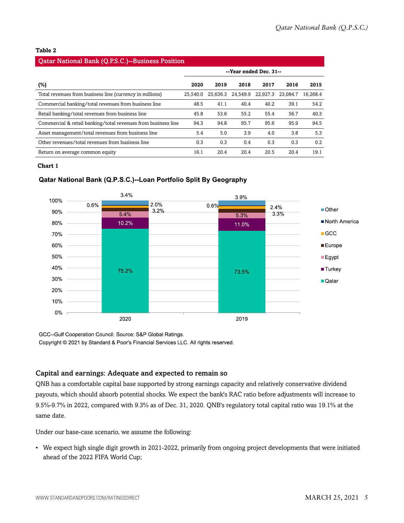#### **Table 2**

#### Qatar National Bank (Q.P.S.C.)--Business Position

|                                                               | --Year ended Dec. 31-- |          |          |          |          |          |  |
|---------------------------------------------------------------|------------------------|----------|----------|----------|----------|----------|--|
| (%)                                                           | 2020                   | 2019     | 2018     | 2017     | 2016     | 2015     |  |
| Total revenues from business line (currency in millions)      | 25.540.0               | 25,636.3 | 24.549.9 | 22,927.3 | 23.084.7 | 16.268.4 |  |
| Commercial banking/total revenues from business line          | 48.5                   | 41.1     | 40.4     | 40.2     | 39.1     | 54.2     |  |
| Retail banking/total revenues from business line              | 45.8                   | 53.6     | 55.2     | 55.4     | 56.7     | 40.3     |  |
| Commercial & retail banking/total revenues from business line | 94.3                   | 94.8     | 95.7     | 95.6     | 95.9     | 94.5     |  |
| Asset management/total revenues from business line            | 5.4                    | 5.0      | 3.9      | 4.0      | 3.8      | 5.3      |  |
| Other revenues/total revenues from business line              | 0.3                    | 0.3      | 0.4      | 0.3      | 0.3      | 0.2      |  |
| Return on average common equity                               | 16.1                   | 20.4     | 20.4     | 20.5     | 20.4     | 19.1     |  |

#### **Chart 1**

#### Qatar National Bank (Q.P.S.C.)--Loan Portfolio Split By Geography



GCC--Gulf Cooperation Council. Source: S&P Global Ratings.

Copyright © 2021 by Standard & Poor's Financial Services LLC. All rights reserved.

#### Capital and earnings: Adequate and expected to remain so

QNB has a comfortable capital base supported by strong earnings capacity and relatively conservative dividend payouts, which should absorb potential shocks. We expect the bank's RAC ratio before adjustments will increase to 9.5%-9.7% in 2022, compared with 9.3% as of Dec. 31, 2020. QNB's regulatory total capital ratio was 19.1% at the same date.

Under our base-case scenario, we assume the following:

• We expect high single digit growth in 2021-2022, primarily from ongoing project developments that were initiated ahead of the 2022 FIFA World Cup;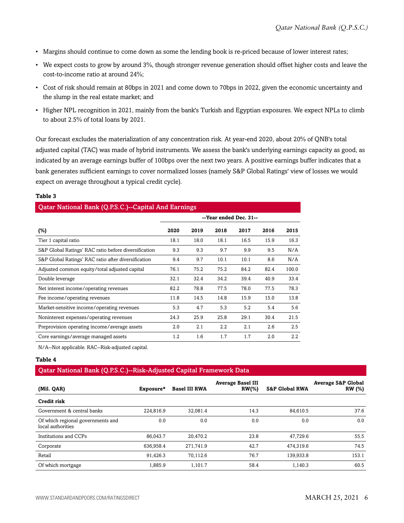- Margins should continue to come down as some the lending book is re-priced because of lower interest rates;
- We expect costs to grow by around 3%, though stronger revenue generation should offset higher costs and leave the cost-to-income ratio at around 24%;
- Cost of risk should remain at 80bps in 2021 and come down to 70bps in 2022, given the economic uncertainty and the slump in the real estate market; and
- Higher NPL recognition in 2021, mainly from the bank's Turkish and Egyptian exposures. We expect NPLs to climb to about 2.5% of total loans by 2021.

Our forecast excludes the materialization of any concentration risk. At year-end 2020, about 20% of QNB's total adjusted capital (TAC) was made of hybrid instruments. We assess the bank's underlying earnings capacity as good, as indicated by an average earnings buffer of 100bps over the next two years. A positive earnings buffer indicates that a bank generates sufficient earnings to cover normalized losses (namely S&P Global Ratings' view of losses we would expect on average throughout a typical credit cycle).

#### **Table 3**

#### Qatar National Bank (Q.P.S.C.)--Capital And Earnings

|                                                      | --Year ended Dec. 31-- |      |      |      |      |       |  |  |
|------------------------------------------------------|------------------------|------|------|------|------|-------|--|--|
| $(\%)$                                               | 2020                   | 2019 | 2018 | 2017 | 2016 | 2015  |  |  |
| Tier 1 capital ratio                                 | 18.1                   | 18.0 | 18.1 | 16.5 | 15.9 | 16.3  |  |  |
| S&P Global Ratings' RAC ratio before diversification | 9.3                    | 9.3  | 9.7  | 9.9  | 9.5  | N/A   |  |  |
| S&P Global Ratings' RAC ratio after diversification  | 9.4                    | 9.7  | 10.1 | 10.1 | 8.6  | N/A   |  |  |
| Adjusted common equity/total adjusted capital        | 76.1                   | 75.2 | 75.2 | 84.2 | 82.4 | 100.0 |  |  |
| Double leverage                                      | 32.1                   | 32.4 | 34.2 | 39.4 | 40.9 | 33.4  |  |  |
| Net interest income/operating revenues               | 82.2                   | 78.8 | 77.5 | 78.0 | 77.5 | 78.3  |  |  |
| Fee income/operating revenues                        | 11.8                   | 14.5 | 14.8 | 15.9 | 15.0 | 13.8  |  |  |
| Market-sensitive income/operating revenues           | 5.3                    | 4.7  | 5.3  | 5.2  | 5.4  | 5.6   |  |  |
| Noninterest expenses/operating revenues              | 24.3                   | 25.9 | 25.8 | 29.1 | 30.4 | 21.5  |  |  |
| Preprovision operating income/average assets         | 2.0                    | 2.1  | 2.2  | 2.1  | 2.6  | 2.5   |  |  |
| Core earnings/average managed assets                 | 1.2                    | 1.6  | 1.7  | 1.7  | 2.0  | 2.2   |  |  |

N/A--Not applicable. RAC--Risk-adjusted capital.

#### **Table 4**

#### Qatar National Bank (Q.P.S.C.)--Risk-Adjusted Capital Framework Data

| (Mil. QAR)                                             | Exposure* | <b>Basel III RWA</b> | <b>Average Basel III</b><br>$RW(\% )$ | <b>S&amp;P Global RWA</b> | <b>Average S&amp;P Global</b><br><b>RW</b> (%) |
|--------------------------------------------------------|-----------|----------------------|---------------------------------------|---------------------------|------------------------------------------------|
| <b>Credit risk</b>                                     |           |                      |                                       |                           |                                                |
| Government & central banks                             | 224.816.9 | 32.081.4             | 14.3                                  | 84.610.5                  | 37.6                                           |
| Of which regional governments and<br>local authorities | 0.0       | 0.0                  | 0.0                                   | 0.0                       | 0.0                                            |
| Institutions and CCPs                                  | 86,043.7  | 20.470.2             | 23.8                                  | 47.729.6                  | 55.5                                           |
| Corporate                                              | 636.958.4 | 271.741.9            | 42.7                                  | 474.319.6                 | 74.5                                           |
| Retail                                                 | 91,426.3  | 70.112.6             | 76.7                                  | 139,933.8                 | 153.1                                          |
| Of which mortgage                                      | 1.885.9   | 1.101.7              | 58.4                                  | 1,140.3                   | 60.5                                           |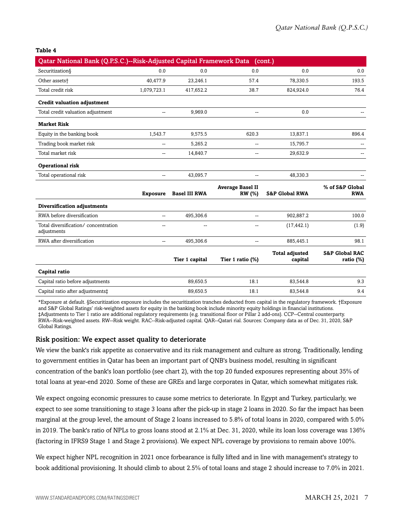#### **Table 4**

| Qatar National Bank (Q.P.S.C.)--Risk-Adjusted Capital Framework Data (cont.) |                 |                      |                          |                           |                           |
|------------------------------------------------------------------------------|-----------------|----------------------|--------------------------|---------------------------|---------------------------|
| Securitization§                                                              | 0.0             | 0.0                  | 0.0                      | 0.0                       | 0.0                       |
| Other assets <sup>+</sup>                                                    | 40,477.9        | 23,246.1             | 57.4                     | 78,330.5                  | 193.5                     |
| Total credit risk                                                            | 1,079,723.1     | 417,652.2            | 38.7                     | 824,924.0                 | 76.4                      |
| <b>Credit valuation adjustment</b>                                           |                 |                      |                          |                           |                           |
| Total credit valuation adjustment                                            | $\overline{a}$  | 9,969.0              | $\mathbf{u}$             | 0.0                       |                           |
| <b>Market Risk</b>                                                           |                 |                      |                          |                           |                           |
| Equity in the banking book                                                   | 1,543.7         | 9,575.5              | 620.3                    | 13,837.1                  | 896.4                     |
| Trading book market risk                                                     |                 | 5,265.2              |                          | 15,795.7                  |                           |
| Total market risk                                                            | $\overline{a}$  | 14,840.7             | $\overline{\phantom{a}}$ | 29,632.9                  |                           |
| <b>Operational risk</b>                                                      |                 |                      |                          |                           |                           |
| Total operational risk                                                       | --              | 43,095.7             |                          | 48,330.3                  |                           |
|                                                                              |                 |                      | <b>Average Basel II</b>  |                           | % of S&P Global           |
|                                                                              | <b>Exposure</b> | <b>Basel III RWA</b> | <b>RW</b> (%)            | <b>S&amp;P Global RWA</b> | <b>RWA</b>                |
| Diversification adjustments                                                  |                 |                      |                          |                           |                           |
| RWA before diversification                                                   | Щ,              | 495,306.6            | $\overline{\phantom{a}}$ | 902,887.2                 | 100.0                     |
| Total diversification/concentration<br>adjustments                           | $\overline{a}$  |                      |                          | (17, 442.1)               | (1.9)                     |
| RWA after diversification                                                    | Щ,              | 495,306.6            | $\overline{\phantom{a}}$ | 885,445.1                 | 98.1                      |
|                                                                              |                 |                      |                          | <b>Total adjusted</b>     | <b>S&amp;P Global RAC</b> |
|                                                                              |                 | Tier 1 capital       | Tier 1 ratio (%)         | capital                   | ratio $(\%)$              |
| Capital ratio                                                                |                 |                      |                          |                           |                           |
| Capital ratio before adjustments                                             |                 | 89,650.5             | 18.1                     | 83,544.8                  | 9.3                       |
| Capital ratio after adjustments‡                                             |                 | 89,650.5             | 18.1                     | 83,544.8                  | 9.4                       |

\*Exposure at default. §Securitization exposure includes the securitization tranches deducted from capital in the regulatory framework. †Exposure and S&P Global Ratings' risk-weighted assets for equity in the banking book include minority equity holdings in financial institutions. ‡Adjustments to Tier 1 ratio are additional regulatory requirements (e.g. transitional floor or Pillar 2 add-ons). CCP--Central counterparty. RWA--Risk-weighted assets. RW--Risk weight. RAC--Risk-adjusted capital. QAR--Qatari rial. Sources: Company data as of Dec. 31, 2020, S&P Global Ratings.

#### Risk position: We expect asset quality to deteriorate

We view the bank's risk appetite as conservative and its risk management and culture as strong. Traditionally, lending to government entities in Qatar has been an important part of QNB's business model, resulting in significant concentration of the bank's loan portfolio (see chart 2), with the top 20 funded exposures representing about 35% of total loans at year-end 2020. Some of these are GREs and large corporates in Qatar, which somewhat mitigates risk.

We expect ongoing economic pressures to cause some metrics to deteriorate. In Egypt and Turkey, particularly, we expect to see some transitioning to stage 3 loans after the pick-up in stage 2 loans in 2020. So far the impact has been marginal at the group level, the amount of Stage 2 loans increased to 5.8% of total loans in 2020, compared with 5.0% in 2019. The bank's ratio of NPLs to gross loans stood at 2.1% at Dec. 31, 2020, while its loan loss coverage was 136% (factoring in IFRS9 Stage 1 and Stage 2 provisions). We expect NPL coverage by provisions to remain above 100%.

We expect higher NPL recognition in 2021 once forbearance is fully lifted and in line with management's strategy to book additional provisioning. It should climb to about 2.5% of total loans and stage 2 should increase to 7.0% in 2021.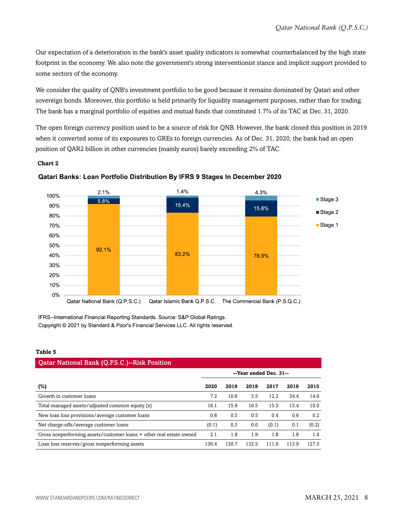Our expectation of a deterioration in the bank's asset quality indicators is somewhat counterbalanced by the high state footprint in the economy. We also note the government's strong interventionist stance and implicit support provided to some sectors of the economy.

We consider the quality of QNB's investment portfolio to be good because it remains dominated by Qatari and other sovereign bonds. Moreover, this portfolio is held primarily for liquidity management purposes, rather than for trading. The bank has a marginal portfolio of equities and mutual funds that constituted 1.7% of its TAC at Dec. 31, 2020.

The open foreign currency position used to be a source of risk for QNB. However, the bank closed this position in 2019 when it converted some of its exposures to GREs to foreign currencies. As of Dec. 31, 2020, the bank had an open position of QAR2 billion in other currencies (mainly euros) barely exceeding 2% of TAC.

#### **Chart 2**



#### **Qatari Banks: Loan Portfolio Distribution By IFRS 9 Stages In December 2020**

IFRS--International Financial Reporting Standards. Source: S&P Global Ratings. Copyright © 2021 by Standard & Poor's Financial Services LLC. All rights reserved.

#### **Table 5**

| <b>Qatar National Bank (Q.P.S.C.)--Risk Position</b>                |                        |       |       |       |       |       |  |  |  |  |
|---------------------------------------------------------------------|------------------------|-------|-------|-------|-------|-------|--|--|--|--|
|                                                                     | --Year ended Dec. 31-- |       |       |       |       |       |  |  |  |  |
| $(\%)$                                                              | 2020                   | 2019  | 2018  | 2017  | 2016  | 2015  |  |  |  |  |
| Growth in customer loans                                            | 7.2                    | 10.6  | 5.5   | 12.2  | 34.4  | 14.6  |  |  |  |  |
| Total managed assets/adjusted common equity (x)                     | 16.1                   | 15.9  | 16.5  | 15.3  | 15.4  | 10.0  |  |  |  |  |
| New loan loss provisions/average customer loans                     | 0.8                    | 0.5   | 0.5   | 0.4   | 0.6   | 0.2   |  |  |  |  |
| Net charge-offs/average customer loans                              | (0.1)                  | 0.3   | 0.0   | (0.1) | 0.1   | (0.2) |  |  |  |  |
| Gross nonperforming assets/customer loans + other real estate owned | 2.1                    | 1.9   | 1.9   | 1.8   | 1.8   | 1.4   |  |  |  |  |
| Loan loss reserves/gross nonperforming assets                       | 136.4                  | 130.7 | 132.5 | 111.9 | 113.9 | 127.3 |  |  |  |  |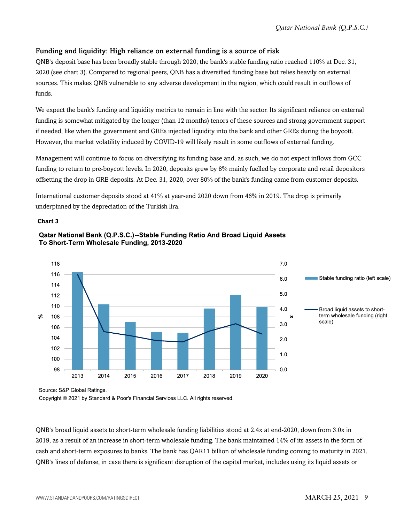#### Funding and liquidity: High reliance on external funding is a source of risk

QNB's deposit base has been broadly stable through 2020; the bank's stable funding ratio reached 110% at Dec. 31, 2020 (see chart 3). Compared to regional peers, QNB has a diversified funding base but relies heavily on external sources. This makes QNB vulnerable to any adverse development in the region, which could result in outflows of funds.

We expect the bank's funding and liquidity metrics to remain in line with the sector. Its significant reliance on external funding is somewhat mitigated by the longer (than 12 months) tenors of these sources and strong government support if needed, like when the government and GREs injected liquidity into the bank and other GREs during the boycott. However, the market volatility induced by COVID-19 will likely result in some outflows of external funding.

Management will continue to focus on diversifying its funding base and, as such, we do not expect inflows from GCC funding to return to pre-boycott levels. In 2020, deposits grew by 8% mainly fuelled by corporate and retail depositors offsetting the drop in GRE deposits. At Dec. 31, 2020, over 80% of the bank's funding came from customer deposits.

International customer deposits stood at 41% at year-end 2020 down from 46% in 2019. The drop is primarily underpinned by the depreciation of the Turkish lira.

#### **Chart 3**



#### Qatar National Bank (Q.P.S.C.)--Stable Funding Ratio And Broad Liquid Assets To Short-Term Wholesale Funding, 2013-2020

Source: S&P Global Ratings.

Copyright © 2021 by Standard & Poor's Financial Services LLC. All rights reserved.

QNB's broad liquid assets to short-term wholesale funding liabilities stood at 2.4x at end-2020, down from 3.0x in 2019, as a result of an increase in short-term wholesale funding. The bank maintained 14% of its assets in the form of cash and short-term exposures to banks. The bank has QAR11 billion of wholesale funding coming to maturity in 2021. QNB's lines of defense, in case there is significant disruption of the capital market, includes using its liquid assets or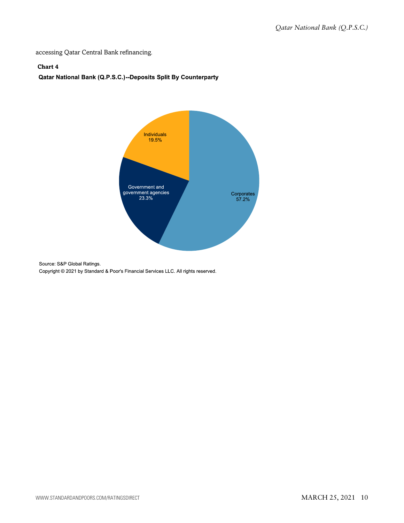accessing Qatar Central Bank refinancing.

#### **Chart 4**

#### Qatar National Bank (Q.P.S.C.)--Deposits Split By Counterparty



Source: S&P Global Ratings. Copyright © 2021 by Standard & Poor's Financial Services LLC. All rights reserved.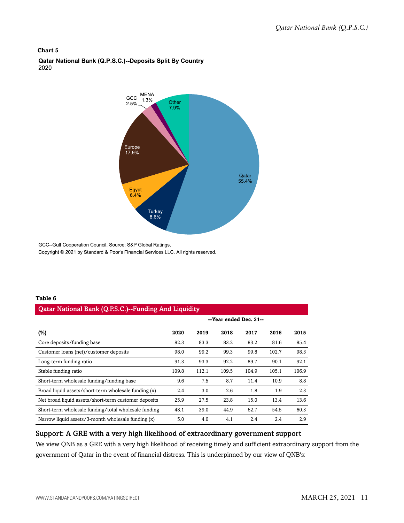#### **Chart 5**

Qatar National Bank (Q.P.S.C.)--Deposits Split By Country 2020



GCC--Gulf Cooperation Council. Source: S&P Global Ratings. Copyright © 2021 by Standard & Poor's Financial Services LLC. All rights reserved.

#### **Table 6**

#### Qatar National Bank (Q.P.S.C.)--Funding And Liquidity

| ີ                                                    |                        |       |       |       |       |       |  |
|------------------------------------------------------|------------------------|-------|-------|-------|-------|-------|--|
|                                                      | --Year ended Dec. 31-- |       |       |       |       |       |  |
| (%)                                                  | 2020                   | 2019  | 2018  | 2017  | 2016  | 2015  |  |
| Core deposits/funding base                           | 82.3                   | 83.3  | 83.2  | 83.2  | 81.6  | 85.4  |  |
| Customer loans (net)/customer deposits               | 98.0                   | 99.2  | 99.3  | 99.8  | 102.7 | 98.3  |  |
| Long-term funding ratio                              | 91.3                   | 93.3  | 92.2  | 89.7  | 90.1  | 92.1  |  |
| Stable funding ratio                                 | 109.8                  | 112.1 | 109.5 | 104.9 | 105.1 | 106.9 |  |
| Short-term wholesale funding/funding base            | 9.6                    | 7.5   | 8.7   | 11.4  | 10.9  | 8.8   |  |
| Broad liquid assets/short-term wholesale funding (x) | 2.4                    | 3.0   | 2.6   | 1.8   | 1.9   | 2.3   |  |
| Net broad liquid assets/short-term customer deposits | 25.9                   | 27.5  | 23.8  | 15.0  | 13.4  | 13.6  |  |
| Short-term wholesale funding/total wholesale funding | 48.1                   | 39.0  | 44.9  | 62.7  | 54.5  | 60.3  |  |
| Narrow liquid assets/3-month wholesale funding (x)   | 5.0                    | 4.0   | 4.1   | 2.4   | 2.4   | 2.9   |  |

#### Support: A GRE with a very high likelihood of extraordinary government support

We view QNB as a GRE with a very high likelihood of receiving timely and sufficient extraordinary support from the government of Qatar in the event of financial distress. This is underpinned by our view of QNB's: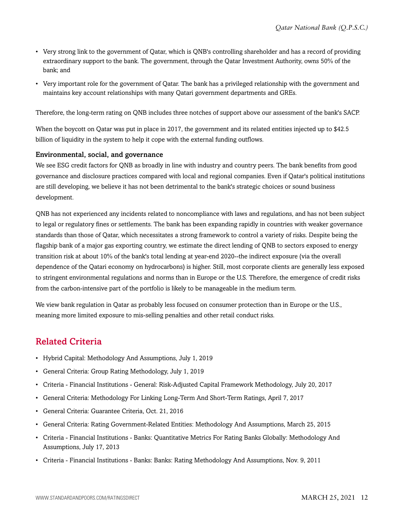- Very strong link to the government of Qatar, which is QNB's controlling shareholder and has a record of providing extraordinary support to the bank. The government, through the Qatar Investment Authority, owns 50% of the bank; and
- Very important role for the government of Qatar. The bank has a privileged relationship with the government and maintains key account relationships with many Qatari government departments and GREs.

Therefore, the long-term rating on QNB includes three notches of support above our assessment of the bank's SACP.

When the boycott on Qatar was put in place in 2017, the government and its related entities injected up to \$42.5 billion of liquidity in the system to help it cope with the external funding outflows.

#### Environmental, social, and governance

We see ESG credit factors for ONB as broadly in line with industry and country peers. The bank benefits from good governance and disclosure practices compared with local and regional companies. Even if Qatar's political institutions are still developing, we believe it has not been detrimental to the bank's strategic choices or sound business development.

QNB has not experienced any incidents related to noncompliance with laws and regulations, and has not been subject to legal or regulatory fines or settlements. The bank has been expanding rapidly in countries with weaker governance standards than those of Qatar, which necessitates a strong framework to control a variety of risks. Despite being the flagship bank of a major gas exporting country, we estimate the direct lending of QNB to sectors exposed to energy transition risk at about 10% of the bank's total lending at year-end 2020--the indirect exposure (via the overall dependence of the Qatari economy on hydrocarbons) is higher. Still, most corporate clients are generally less exposed to stringent environmental regulations and norms than in Europe or the U.S. Therefore, the emergence of credit risks from the carbon-intensive part of the portfolio is likely to be manageable in the medium term.

We view bank regulation in Qatar as probably less focused on consumer protection than in Europe or the U.S., meaning more limited exposure to mis-selling penalties and other retail conduct risks.

### <span id="page-11-0"></span>Related Criteria

- Hybrid Capital: Methodology And Assumptions, July 1, 2019
- General Criteria: Group Rating Methodology, July 1, 2019
- Criteria Financial Institutions General: Risk-Adjusted Capital Framework Methodology, July 20, 2017
- General Criteria: Methodology For Linking Long-Term And Short-Term Ratings, April 7, 2017
- General Criteria: Guarantee Criteria, Oct. 21, 2016
- General Criteria: Rating Government-Related Entities: Methodology And Assumptions, March 25, 2015
- Criteria Financial Institutions Banks: Quantitative Metrics For Rating Banks Globally: Methodology And Assumptions, July 17, 2013
- Criteria Financial Institutions Banks: Banks: Rating Methodology And Assumptions, Nov. 9, 2011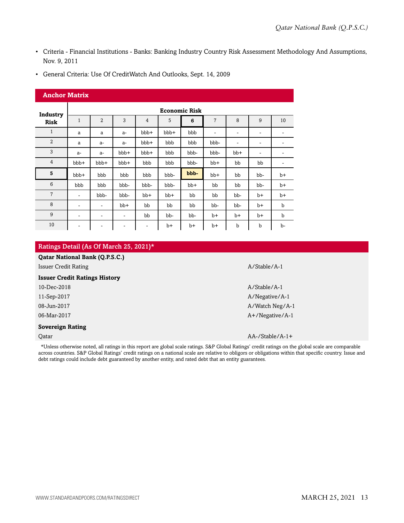- Criteria Financial Institutions Banks: Banking Industry Country Risk Assessment Methodology And Assumptions, Nov. 9, 2011
- General Criteria: Use Of CreditWatch And Outlooks, Sept. 14, 2009

#### **Anchor Matrix**

| Industry       |                          | <b>Economic Risk</b>     |       |                          |       |       |                          |                          |                          |             |  |  |  |
|----------------|--------------------------|--------------------------|-------|--------------------------|-------|-------|--------------------------|--------------------------|--------------------------|-------------|--|--|--|
| <b>Risk</b>    | $\mathbf{1}$             | $\overline{2}$           | 3     | $\overline{4}$           | 5     | 6     | $\overline{7}$           | 8                        | 9                        | 10          |  |  |  |
| $\mathbf{1}$   | a                        | a                        | $a-$  | bbb+                     | bbb+  | bbb   | $\overline{\phantom{a}}$ | $\overline{\phantom{a}}$ | $\overline{\phantom{a}}$ | -           |  |  |  |
| $\overline{2}$ | a                        | $a-$                     | $a-$  | bbb+                     | bbb   | bbb   | bbb-                     | $\overline{\phantom{a}}$ | ۰                        | -           |  |  |  |
| 3              | $a-$                     | $a-$                     | bbb+  | bbb+                     | bbb   | bbb-  | bbb-                     | $bb+$                    | ٠                        |             |  |  |  |
| $\overline{4}$ | bbb+                     | bbb+                     | bbb+  | bbb                      | bbb   | bbb-  | $bb+$                    | bb                       | bb                       | -           |  |  |  |
| 5              | bbb+                     | bbb                      | bbb   | bbb                      | bbb-  | bbb-  | $bb+$                    | bb                       | bb-                      | $b+$        |  |  |  |
| 6              | bbb                      | bbb                      | bbb-  | bbb-                     | bbb-  | $bb+$ | bb                       | bb                       | bb-                      | $b+$        |  |  |  |
| 7              | ٠                        | bbb-                     | bbb-  | $bb+$                    | $bb+$ | bb    | bb                       | bb-                      | $b+$                     | $b+$        |  |  |  |
| 8              | ۰                        | ٠                        | $bb+$ | bb                       | bb    | bb    | bb-                      | bb-                      | b+                       | b           |  |  |  |
| 9              | ۰                        | $\blacksquare$           | ۰     | bb                       | bb-   | bb-   | $b+$                     | b+                       | $b+$                     | $\mathbf b$ |  |  |  |
| 10             | $\overline{\phantom{a}}$ | $\overline{\phantom{a}}$ | ٠     | $\overline{\phantom{a}}$ | $b+$  | $b+$  | $b+$                     | b                        | b                        | b-          |  |  |  |

#### Ratings Detail (As Of March 25, 2021)\*

| <b>Qatar National Bank (Q.P.S.C.)</b> |                    |
|---------------------------------------|--------------------|
| <b>Issuer Credit Rating</b>           | A/Stable/A-1       |
| <b>Issuer Credit Ratings History</b>  |                    |
| 10-Dec-2018                           | $A/Stable/A-1$     |
| 11-Sep-2017                           | A/Negative/A-1     |
| 08-Jun-2017                           | A/Watch Neg/A-1    |
| 06-Mar-2017                           | $A+$ /Negative/A-1 |
| <b>Sovereign Rating</b>               |                    |
| Oatar                                 | $AA$ -/Stable/A-1+ |

\*Unless otherwise noted, all ratings in this report are global scale ratings. S&P Global Ratings' credit ratings on the global scale are comparable across countries. S&P Global Ratings' credit ratings on a national scale are relative to obligors or obligations within that specific country. Issue and debt ratings could include debt guaranteed by another entity, and rated debt that an entity guarantees.